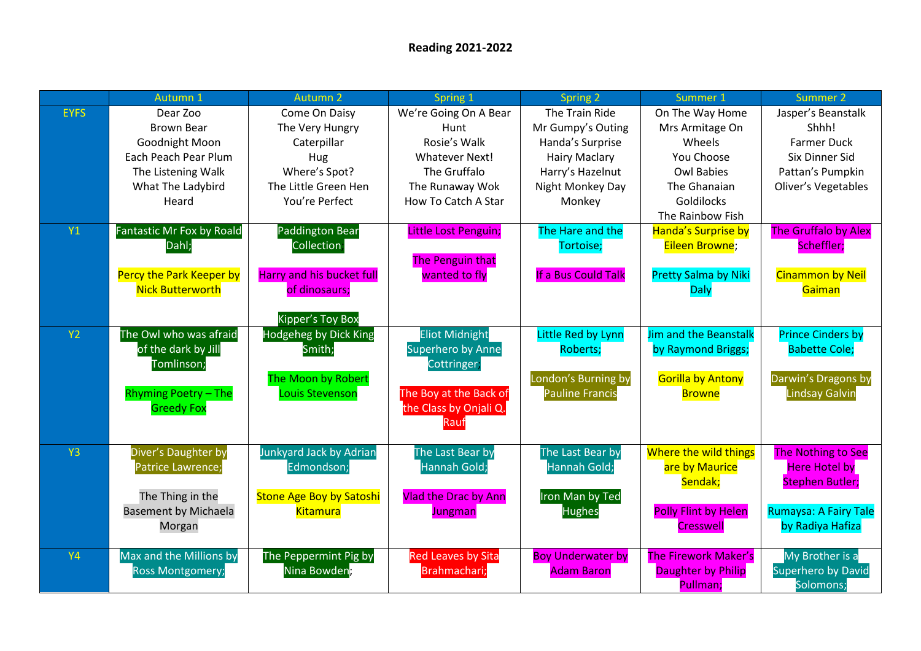|                | Autumn 1                                 | Autumn <sub>2</sub>              | Spring 1                         | Spring 2                 | Summer 1                    | Summer 2                                   |
|----------------|------------------------------------------|----------------------------------|----------------------------------|--------------------------|-----------------------------|--------------------------------------------|
| <b>EYFS</b>    | Dear Zoo                                 | Come On Daisy                    | We're Going On A Bear            | The Train Ride           | On The Way Home             | Jasper's Beanstalk                         |
|                | <b>Brown Bear</b>                        | The Very Hungry                  | Hunt                             | Mr Gumpy's Outing        | Mrs Armitage On             | Shhh!                                      |
|                | Goodnight Moon                           | Caterpillar                      | Rosie's Walk                     | Handa's Surprise         | Wheels                      | <b>Farmer Duck</b>                         |
|                | Each Peach Pear Plum                     | Hug                              | <b>Whatever Next!</b>            | <b>Hairy Maclary</b>     | You Choose                  | Six Dinner Sid                             |
|                | The Listening Walk                       | Where's Spot?                    | The Gruffalo                     | Harry's Hazelnut         | <b>Owl Babies</b>           | Pattan's Pumpkin                           |
|                | What The Ladybird                        | The Little Green Hen             | The Runaway Wok                  | Night Monkey Day         | The Ghanaian                | Oliver's Vegetables                        |
|                | Heard                                    | You're Perfect                   | How To Catch A Star              | Monkey                   | Goldilocks                  |                                            |
|                |                                          |                                  |                                  |                          | The Rainbow Fish            |                                            |
| <b>Y1</b>      | Fantastic Mr Fox by Roald                | <b>Paddington Bear</b>           | Little Lost Penguin;             | The Hare and the         | Handa's Surprise by         | <b>The Gruffalo by Alex</b>                |
|                | Dahl;                                    | Collection;                      |                                  | Tortoise;                | Eileen Browne;              | Scheffler;                                 |
|                |                                          |                                  | The Penguin that                 |                          |                             |                                            |
|                | Percy the Park Keeper by                 | <b>Harry and his bucket full</b> | wanted to fly                    | If a Bus Could Talk      | <b>Pretty Salma by Niki</b> | <b>Cinammon by Neil</b>                    |
|                | <b>Nick Butterworth</b>                  | of dinosaurs;                    |                                  |                          | <b>Daly</b>                 | Gaiman                                     |
|                |                                          |                                  |                                  |                          |                             |                                            |
|                |                                          | <b>Kipper's Toy Box</b>          |                                  |                          |                             |                                            |
| <b>Y2</b>      | The Owl who was afraid                   | <b>Hodgeheg by Dick King</b>     | <b>Eliot Midnight</b>            | Little Red by Lynn       | Jim and the Beanstalk       | <b>Prince Cinders by</b>                   |
|                | of the dark by Jill                      | Smith;                           | <b>Superhero by Anne</b>         | <b>Roberts;</b>          | by Raymond Briggs;          | <b>Babette Cole;</b>                       |
|                | Tomlinson;                               |                                  | Cottringer;                      |                          |                             |                                            |
|                |                                          | The Moon by Robert               |                                  | London's Burning by      | <b>Gorilla by Antony</b>    | Darwin's Dragons by                        |
|                | <b>Rhyming Poetry - The</b>              | Louis Stevenson                  | The Boy at the Back of           | <b>Pauline Francis</b>   | <b>Browne</b>               | <b>Lindsay Galvin</b>                      |
|                | <b>Greedy Fox</b>                        |                                  | the Class by Onjali Q.           |                          |                             |                                            |
|                |                                          |                                  | Rauf                             |                          |                             |                                            |
| Y <sub>3</sub> |                                          | Junkyard Jack by Adrian          |                                  | The Last Bear by         | Where the wild things       |                                            |
|                | Diver's Daughter by<br>Patrice Lawrence; | Edmondson;                       | The Last Bear by<br>Hannah Gold; | Hannah Gold;             | are by Maurice              | The Nothing to See<br><b>Here Hotel by</b> |
|                |                                          |                                  |                                  |                          | Sendak;                     | <b>Stephen Butler;</b>                     |
|                | The Thing in the                         | <b>Stone Age Boy by Satoshi</b>  | <b>Vlad the Drac by Ann</b>      | Iron Man by Ted          |                             |                                            |
|                | <b>Basement by Michaela</b>              | <b>Kitamura</b>                  | Jungman                          | <b>Hughes</b>            | <b>Polly Flint by Helen</b> | <b>Rumaysa: A Fairy Tale</b>               |
|                | Morgan                                   |                                  |                                  |                          | <b>Cresswell</b>            | by Radiya Hafiza                           |
|                |                                          |                                  |                                  |                          |                             |                                            |
| <b>Y4</b>      | Max and the Millions by                  | The Peppermint Pig by            | <b>Red Leaves by Sita</b>        | <b>Boy Underwater by</b> | <b>The Firework Maker's</b> | My Brother is a                            |
|                | <b>Ross Montgomery;</b>                  | Nina Bowden,                     | Brahmachari;                     | <b>Adam Baron</b>        | Daughter by Philip          | <b>Superhero by David</b>                  |
|                |                                          |                                  |                                  |                          | Pullman;                    | Solomons;                                  |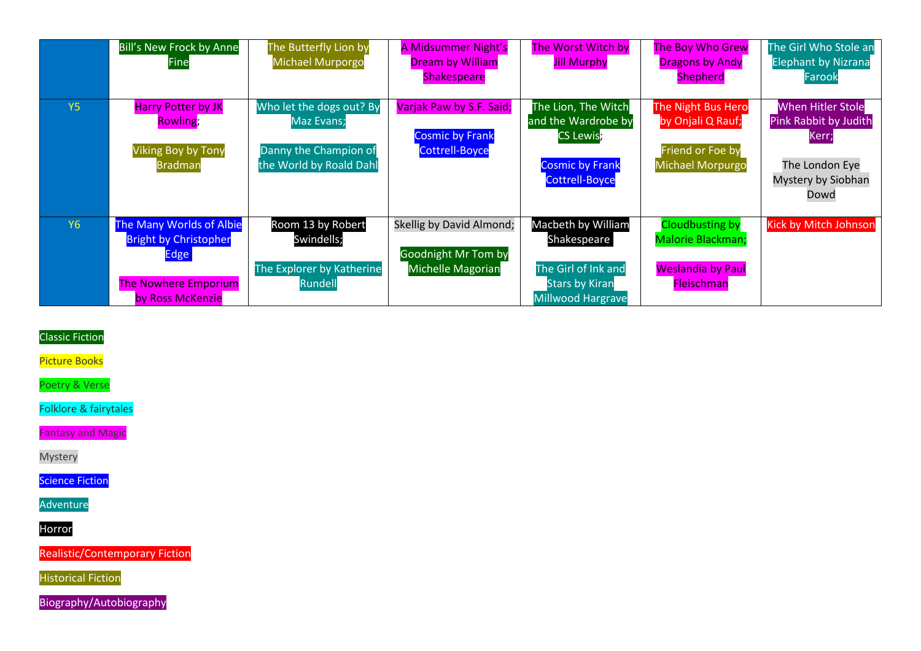|           | <b>Bill's New Frock by Anne</b><br><b>Fine</b>                                                                              | The Butterfly Lion by<br>Michael Murporgo                                                         | A Midsummer Night's<br><b>Dream by William</b><br><b>Shakespeare</b>               | <b>The Worst Witch by</b><br><b>Jill Murphy</b>                                                                   | <b>The Boy Who Grew</b><br><b>Dragons by Andy</b><br><b>Shepherd</b>                         | The Girl Who Stole an<br><b>Elephant by Nizrana</b><br>Farook                                              |
|-----------|-----------------------------------------------------------------------------------------------------------------------------|---------------------------------------------------------------------------------------------------|------------------------------------------------------------------------------------|-------------------------------------------------------------------------------------------------------------------|----------------------------------------------------------------------------------------------|------------------------------------------------------------------------------------------------------------|
| <b>Y5</b> | <b>Harry Potter by JK</b><br>Rowling;<br><b>Viking Boy by Tony</b><br><b>Bradman</b>                                        | Who let the dogs out? By<br><b>Maz Evans;</b><br>Danny the Champion of<br>the World by Roald Dahl | Varjak Paw by S.F. Said;<br><b>Cosmic by Frank</b><br><b>Cottrell-Boyce</b>        | The Lion, The Witch<br>and the Wardrobe by<br><b>CS Lewis;</b><br><b>Cosmic by Frank</b><br><b>Cottrell-Boyce</b> | The Night Bus Hero<br>by Onjali Q Rauf;<br>Friend or Foe by<br><b>Michael Morpurgo</b>       | <b>When Hitler Stole</b><br>Pink Rabbit by Judith<br>Kerr;<br>The London Eye<br>Mystery by Siobhan<br>Dowd |
| <b>Y6</b> | <b>The Many Worlds of Albie</b><br><b>Bright by Christopher</b><br>Edge,<br><b>The Nowhere Emporium</b><br>by Ross McKenzie | Room 13 by Robert<br>Swindells;<br>The Explorer by Katherine<br>Rundell                           | Skellig by David Almond;<br><b>Goodnight Mr Tom by</b><br><b>Michelle Magorian</b> | Macbeth by William<br>Shakespeare<br>The Girl of Ink and<br><b>Stars by Kiran</b><br><b>Millwood Hargrave</b>     | <b>Cloudbusting by</b><br>Malorie Blackman;<br><b>Weslandia by Paul</b><br><b>Fleischman</b> | <b>Kick by Mitch Johnson</b>                                                                               |

## Classic Fiction

Picture Books

Poetry & Verse

Folklore & fairytales

Fantasy and Magic

Mystery

**Science Fiction** 

Adventure

Horror

Realistic/Contemporary Fiction

Historical Fiction

Biography/Autobiography